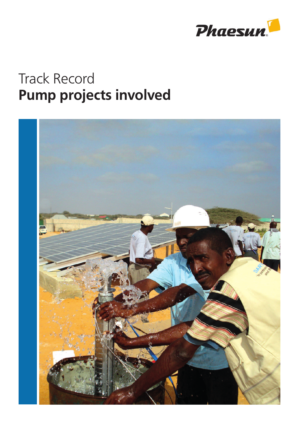

## Track Record Pump projects involved

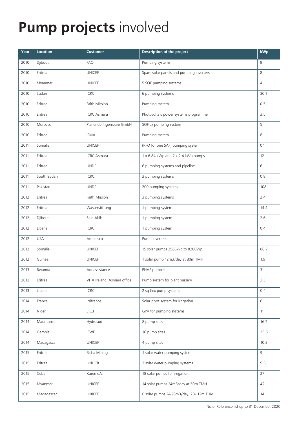## Pump projects involved

| Year | <b>Location</b> | <b>Customer</b>             | <b>Description of the project</b>        | kWp            |
|------|-----------------|-----------------------------|------------------------------------------|----------------|
| 2010 | Djibouti        | <b>FAO</b>                  | Pumping systems                          | 9              |
| 2010 | Eritrea         | <b>UNICEF</b>               | Spare solar panels and pumping inverters | 8              |
| 2010 | Myanmar         | <b>UNICEF</b>               | 5 SQF pumping systems                    | $\overline{4}$ |
| 2010 | Sudan           | <b>ICRC</b>                 | 6 pumping systems                        | 30.1           |
| 2010 | Eritrea         | Faith Mission               | Pumping system                           | 0.5            |
| 2010 | Eritrea         | <b>ICRC</b> Asmara          | Photovoltaic power systems programme     | 3.5            |
| 2010 | Morocco         | Planende Ingenieure GmbH    | SQFlex pumping system                    | 5              |
| 2010 | Eritrea         | <b>GMA</b>                  | Pumping system                           | 8              |
| 2011 | Somalia         | <b>UNICEF</b>               | (RFQ for one SAF) pumping system         | 0.1            |
| 2011 | Eritrea         | <b>ICRC</b> Asmara          | 1 x 6.84 kWp and 2 x 2.4 kWp pumps       | 12             |
| 2011 | Eritrea         | <b>UNDP</b>                 | 6 pumping systems and pipeline           | 6              |
| 2011 | South Sudan     | <b>ICRC</b>                 | 3 pumping systems                        | 0.8            |
| 2011 | Pakistan        | <b>UNDP</b>                 | 200 pumping systems                      | 108            |
| 2012 | Eritrea         | Faith Mission               | 3 pumping systems                        | 2.4            |
| 2012 | Eritrea         | Wasserstiftung              | 1 pumping system                         | 14.4           |
| 2012 | Djibouti        | Said Abib                   | 1 pumping system                         | 2.6            |
| 2012 | Liberia         | <b>ICRC</b>                 | 1 pumping system                         | 0.4            |
| 2012 | <b>USA</b>      | Ameresco                    | Pump inverters                           |                |
| 2012 | Somalia         | <b>UNICEF</b>               | 15 solar pumps 2565Wp to 8200Wp          | 88.7           |
| 2012 | Guinea          | <b>UNICEF</b>               | 1 solar pump 12m3/day at 80m TMH         | 1.9            |
| 2013 | Rwanda          | Aquassistance               | PNAP pump site                           | 3              |
| 2013 | Eritrea         | VITA Ireland, Asmara office | Pump system for plant nursery            | 3.3            |
| 2013 | Liberia         | <b>ICRC</b>                 | 2 sq flex pump systems                   | 0.4            |
| 2014 | France          | Irrifrance                  | Solar pivot system for irrigation        | 6              |
| 2014 | Niger           | E.C.H.                      | GPV for pumping systems                  | 11             |
| 2014 | Mauritania      | Hydrosud                    | 8 pump sites                             | 16.2           |
| 2014 | Gambia          | <b>GWE</b>                  | 16 pump sites                            | 25.6           |
| 2014 | Madagascar      | <b>UNICEF</b>               | 4 pump sites                             | 10.3           |
| 2015 | Eritrea         | <b>Bisha Mining</b>         | 1 solar water pumping system             | 9              |
| 2015 | Eritrea         | <b>UNHCR</b>                | 2 solar water pumping systems            | 9.5            |
| 2015 | Cuba            | Karen e.V.                  | 18 solar pumps for irrigation            | 27             |
| 2015 | Myanmar         | <b>UNICEF</b>               | 14 solar pumps 24m3/day at 50m TMH       | 42             |
| 2015 | Madagascar      | <b>UNICEF</b>               | 6 solar pumps 24-28m3/day, 28-112m THM   | 14             |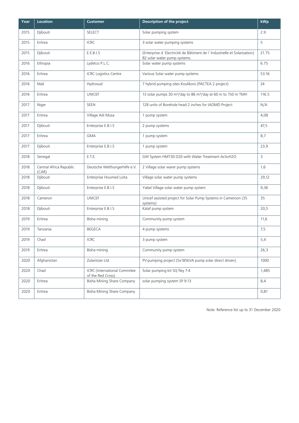| Year | <b>Location</b>                  | <b>Customer</b>                                          | Description of the project                                                                               | kWp            |
|------|----------------------------------|----------------------------------------------------------|----------------------------------------------------------------------------------------------------------|----------------|
| 2015 | Djibouti                         | <b>SELECT</b>                                            | Solar pumping system                                                                                     | 2.9            |
| 2015 | Eritrea                          | <b>ICRC</b>                                              | 3 solar water pumping systems                                                                            | 5              |
| 2015 | Djibouti                         | E.E.B.I.S                                                | (Enterprise d'Electricité de Bâtiment de l'Industrielle et Solarisation)<br>82 solar water pump systems. | 21.75          |
| 2016 | Ethiopia                         | Lydetco P.L.C.                                           | Solar water pump systems                                                                                 | 6.75           |
| 2016 | Fritrea                          | <b>ICRC Logistics Centre</b>                             | Various Solar water pump systems                                                                         | 53.16          |
| 2016 | Mali                             | Hydrosud                                                 | 7 hybrid pumping sites Koulikoro (PACTEA 2 project)                                                      | 24             |
| 2016 | Eritrea                          | <b>UNICEF</b>                                            | 13 solar pumps 30 m <sup>3</sup> /day to 86 m <sup>3</sup> /day at 60 m to 150 m TMH                     | 116.5          |
| 2017 | Niger                            | <b>SEEN</b>                                              | 128 units of Borehole head 2 inches for IAOMD Project                                                    | N/A            |
| 2017 | Eritrea                          | Village Adi Musa                                         | 1 pump system                                                                                            | 4,08           |
| 2017 | Djibouti                         | Enterprise E.B.I.S                                       | 2 pump systems                                                                                           | 47,5           |
| 2017 | Eritrea                          | <b>GMA</b>                                               | 1 pump system                                                                                            | 8,7            |
| 2017 | Djibouti                         | Enterprise E.B.I.S                                       | 1 pump system                                                                                            | 23,9           |
| 2018 | Senegal                          | E.T.E.                                                   | GW System HMT30 D20 with Water Treatment ActivH2O                                                        | $\overline{3}$ |
| 2018 | Central Africa Republic<br>(CAR) | Deutsche Welthungerhilfe e.V.                            | 2 Village solar warer pump systems                                                                       | 1,6            |
| 2018 | Djibouti                         | Enterprise Houmed Loita                                  | Village solar water pump systems                                                                         | 29,12          |
| 2018 | Djibouti                         | Enterprise E.B.I.S                                       | Yabel Village solar water pump system                                                                    | 9,36           |
| 2018 | Cameron                          | <b>UNICEF</b>                                            | Unicef assisted project for Solar Pump Systems in Cameroon (35<br>systems)                               | 35             |
| 2018 | Djibouti                         | Enterprise E.B.I.S                                       | Kalaf pump system                                                                                        | 20,5           |
| 2019 | Eritrea                          | Bisha mining                                             | Community pump system                                                                                    | 11,6           |
| 2019 | Tanzania                         | <b>BEGECA</b>                                            | 4 pump systems                                                                                           | 7,5            |
| 2019 | Chad                             | <b>ICRC</b>                                              | 3 pump system                                                                                            | 5,4            |
| 2019 | Eritrea                          | Bisha mining                                             | Community pump system                                                                                    | 26,3           |
| 2020 | Afghanistan                      | Zularistan Ltd.                                          | PV-pumping project (5x185kVA pump solar direct driven)                                                   | 1000           |
| 2020 | Chad                             | <b>ICRC</b> (International Commitee<br>of the Red Cross) | Solar pumping kit SQ fley 7-4                                                                            | 1,485          |
| 2020 | Eritrea                          | Bisha Mining Share Company                               | solar pumping system SP 9-13                                                                             | 8,4            |
| 2020 | Eritrea                          | Bisha Mining Share Company                               |                                                                                                          | 0,81           |

Note: Reference list up to 31 December 2020